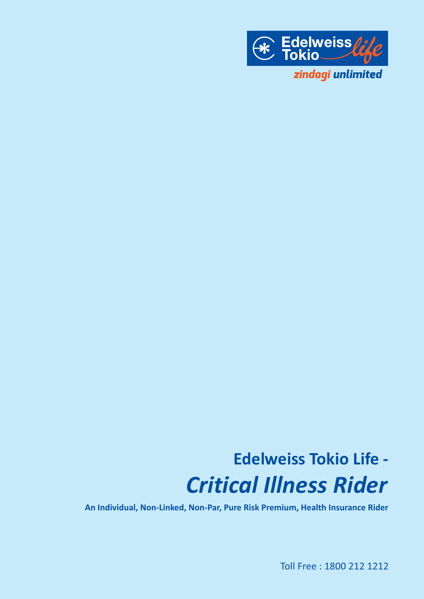

# **Edelweiss Tokio Life -** *Critical Illness Rider*

**An Individual, Non-Linked, Non-Par, Pure Risk Premium, Health Insurance Rider**

Toll Free : 1800 212 1212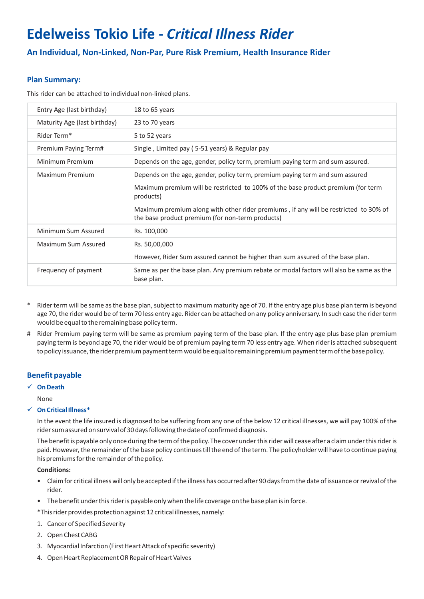# **Edelweiss Tokio Life -** *Critical Illness Rider*

**An Individual, Non-Linked, Non-Par, Pure Risk Premium, Health Insurance Rider**

# **Plan Summary:**

This rider can be attached to individual non-linked plans.

| Entry Age (last birthday)    | 18 to 65 years                                                                                                                           |
|------------------------------|------------------------------------------------------------------------------------------------------------------------------------------|
| Maturity Age (last birthday) | 23 to 70 years                                                                                                                           |
| Rider Term <sup>*</sup>      | 5 to 52 years                                                                                                                            |
| Premium Paying Term#         | Single, Limited pay (5-51 years) & Regular pay                                                                                           |
| Minimum Premium              | Depends on the age, gender, policy term, premium paying term and sum assured.                                                            |
| Maximum Premium              | Depends on the age, gender, policy term, premium paying term and sum assured                                                             |
|                              | Maximum premium will be restricted to 100% of the base product premium (for term<br>products)                                            |
|                              | Maximum premium along with other rider premiums, if any will be restricted to 30% of<br>the base product premium (for non-term products) |
| Minimum Sum Assured          | Rs. 100,000                                                                                                                              |
| Maximum Sum Assured          | Rs. 50,00,000                                                                                                                            |
|                              | However, Rider Sum assured cannot be higher than sum assured of the base plan.                                                           |
| Frequency of payment         | Same as per the base plan. Any premium rebate or modal factors will also be same as the<br>base plan.                                    |

- Rider term will be same as the base plan, subject to maximum maturity age of 70. If the entry age plus base plan term is beyond age 70, the rider would be of term 70 less entry age. Rider can be attached on any policy anniversary. In such case the rider term would be equal to the remaining base policy term.
- # Rider Premium paying term will be same as premium paying term of the base plan. If the entry age plus base plan premium paying term is beyond age 70, the rider would be of premium paying term 70 less entry age. When rider is attached subsequent to policy issuance, the rider premium payment term would be equal to remaining premium payment term of the base policy.

# **Benefit payable**

# ü **On Death**

None

# ü **On Critical Illness\***

In the event the life insured is diagnosed to be suffering from any one of the below 12 critical illnesses, we will pay 100% of the rider sum assured on survival of 30 days following the date of confirmed diagnosis.

The benefit is payable only once during the term of the policy. The cover under this rider will cease after a claim under this rider is paid. However, the remainder of the base policy continues till the end of the term. The policyholder will have to continue paying his premiums for the remainder of the policy.

# **Conditions:**

- Claim for critical illness will only be accepted if the illness has occurred after 90 days from the date of issuance or revival of the rider.
- The benefit under this rider is payable only when the life coverage on the base plan is in force.

\*This rider provides protection against 12 critical illnesses, namely:

- 1. Cancer of Specified Severity
- 2. Open Chest CABG
- 3. Myocardial Infarction (First Heart Attack of specific severity)
- 4. Open Heart Replacement OR Repair of Heart Valves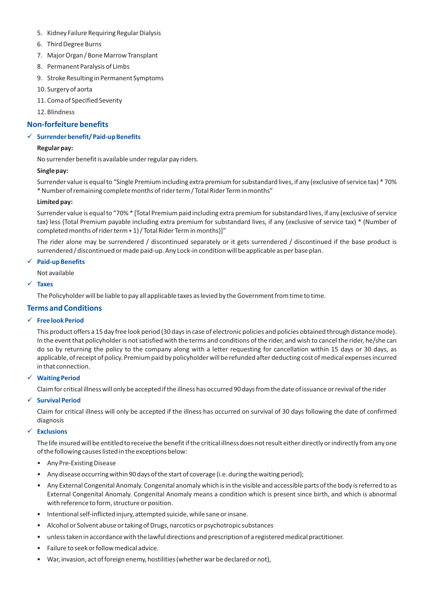- 5. Kidney Failure Requiring Regular Dialysis
- 6. Third Degree Burns
- 7. Major Organ / Bone Marrow Transplant
- 8. Permanent Paralysis of Limbs
- 9. Stroke Resulting in Permanent Symptoms
- 10. Surgery of aorta
- 11. Coma of Specified Severity
- 12. Blindness

# **Non-forfeiture benefits**

# ü **Surrender benefit/ Paid-up Benefits**

# **Regular pay:**

No surrender benefit is available under regular pay riders.

# **Single pay:**

Surrender value is equal to "Single Premium including extra premium for substandard lives, if any (exclusive of service tax) \* 70% \* Number of remaining complete months of rider term / Total Rider Term in months"

# **Limited pay:**

Surrender value is equal to "70% \* [Total Premium paid including extra premium for substandard lives, if any (exclusive of service tax) less {Total Premium payable including extra premium for substandard lives, if any (exclusive of service tax) \* (Number of completed months of rider term + 1) / Total Rider Term in months}]"

The rider alone may be surrendered / discontinued separately or it gets surrendered / discontinued if the base product is surrendered / discontinued or made paid-up. Any Lock-in condition will be applicable as per base plan.

# ü **Paid-up Benefits**

Not available

# ü **Taxes**

The Policyholder will be liable to pay all applicable taxes as levied by the Government from time to time.

# **Terms and Conditions**

# ü **Free look Period**

This product offers a 15 day free look period (30 days in case of electronic policies and policies obtained through distance mode). In the event that policyholder is not satisfied with the terms and conditions of the rider, and wish to cancel the rider, he/she can do so by returning the policy to the company along with a letter requesting for cancellation within 15 days or 30 days, as applicable, of receipt of policy. Premium paid by policyholder will be refunded after deducting cost of medical expenses incurred in that connection.

# ü **Waiting Period**

Claim for critical illness will only be accepted if the illness has occurred 90 days from the date of issuance or revival of the rider

# ü **Survival Period**

Claim for critical illness will only be accepted if the illness has occurred on survival of 30 days following the date of confirmed diagnosis

# ü **Exclusions**

The life insured will be entitled to receive the benefit if the critical illness does not result either directly or indirectly from any one of the following causes listed in the exceptions below:

- Any Pre-Existing Disease
- Any disease occurring within 90 days of the start of coverage (i.e. during the waiting period);
- Any External Congenital Anomaly. Congenital anomaly which is in the visible and accessible parts of the body is referred to as External Congenital Anomaly. Congenital Anomaly means a condition which is present since birth, and which is abnormal with reference to form, structure or position.
- Intentional self-inflicted injury, attempted suicide, while sane or insane.
- Alcohol or Solvent abuse or taking of Drugs, narcotics or psychotropic substances
- unless taken in accordance with the lawful directions and prescription of a registered medical practitioner.
- Failure to seek or follow medical advice.
- War, invasion, act of foreign enemy, hostilities (whether war be declared or not),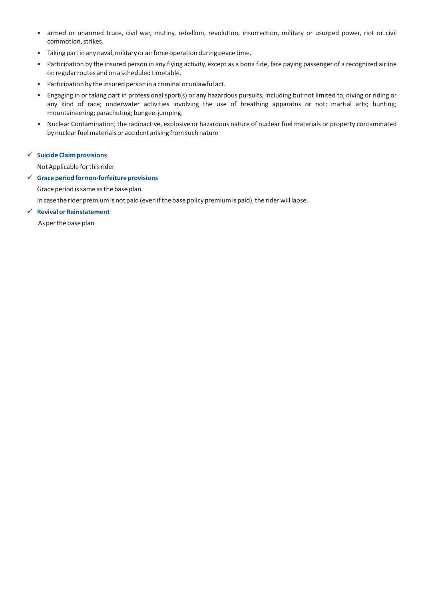- armed or unarmed truce, civil war, mutiny, rebellion, revolution, insurrection, military or usurped power, riot or civil commotion, strikes.
- Taking part in any naval, military or air force operation during peace time.
- Participation by the insured person in any flying activity, except as a bona fide, fare paying passenger of a recognized airline on regular routes and on a scheduled timetable.
- Participation by the insured person in a criminal or unlawful act.
- Engaging in or taking part in professional sport(s) or any hazardous pursuits, including but not limited to, diving or riding or any kind of race; underwater activities involving the use of breathing apparatus or not; martial arts; hunting; mountaineering; parachuting; bungee-jumping.
- Nuclear Contamination; the radioactive, explosive or hazardous nature of nuclear fuel materials or property contaminated by nuclear fuel materials or accident arising from such nature

# ü **Suicide Claim provisions**

Not Applicable for this rider

# ü **Grace period for non-forfeiture provisions**

Grace period is same as the base plan.

In case the rider premium is not paid (even if the base policy premium is paid), the rider will lapse.

#### ü **Revival or Reinstatement**

As per the base plan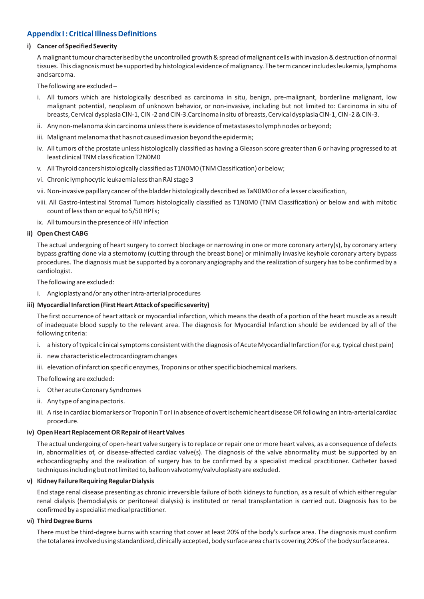# **Appendix I : Critical Illness Definitions**

# **i) Cancer of Specified Severity**

A malignant tumour characterised by the uncontrolled growth & spread of malignant cells with invasion & destruction of normal tissues. This diagnosis must be supported by histological evidence of malignancy. The term cancer includes leukemia, lymphoma and sarcoma.

The following are excluded –

- i. All tumors which are histologically described as carcinoma in situ, benign, pre-malignant, borderline malignant, low malignant potential, neoplasm of unknown behavior, or non-invasive, including but not limited to: Carcinoma in situ of breasts, Cervical dysplasia CIN-1, CIN -2 and CIN-3.Carcinoma in situ of breasts, Cervical dysplasia CIN-1, CIN -2 & CIN-3.
- ii. Any non-melanoma skin carcinoma unless there is evidence of metastases to lymph nodes or beyond;
- iii. Malignant melanoma that has not caused invasion beyond the epidermis;
- iv. All tumors of the prostate unless histologically classified as having a Gleason score greater than 6 or having progressed to at least clinical TNM classification T2N0M0
- v. All Thyroid cancers histologically classified as T1N0M0 (TNM Classification) or below;
- vi. Chronic lymphocytic leukaemia less than RAI stage 3
- vii. Non-invasive papillary cancer of the bladder histologically described as TaN0M0 or of a lesser classification,
- viii. All Gastro-Intestinal Stromal Tumors histologically classified as T1N0M0 (TNM Classification) or below and with mitotic count of less than or equal to 5/50 HPFs;
- ix. All tumours in the presence of HIV infection

#### **ii) Open Chest CABG**

The actual undergoing of heart surgery to correct blockage or narrowing in one or more coronary artery(s), by coronary artery bypass grafting done via a sternotomy (cutting through the breast bone) or minimally invasive keyhole coronary artery bypass procedures. The diagnosis must be supported by a coronary angiography and the realization of surgery has to be confirmed by a cardiologist.

The following are excluded:

i. Angioplasty and/or any other intra-arterial procedures

# **iii) Myocardial Infarction (First Heart Attack of specific severity)**

The first occurrence of heart attack or myocardial infarction, which means the death of a portion of the heart muscle as a result of inadequate blood supply to the relevant area. The diagnosis for Myocardial Infarction should be evidenced by all of the following criteria:

- i. a history of typical clinical symptoms consistent with the diagnosis of Acute Myocardial Infarction (for e.g. typical chest pain)
- ii. new characteristic electrocardiogram changes
- iii. elevation of infarction specific enzymes, Troponins or other specific biochemical markers.

The following are excluded:

- i. Other acute Coronary Syndromes
- ii. Any type of angina pectoris.
- iii. A rise in cardiac biomarkers or Troponin T or I in absence of overt ischemic heart disease OR following an intra-arterial cardiac procedure.

#### **iv) Open Heart Replacement OR Repair of Heart Valves**

The actual undergoing of open-heart valve surgery is to replace or repair one or more heart valves, as a consequence of defects in, abnormalities of, or disease-affected cardiac valve(s). The diagnosis of the valve abnormality must be supported by an echocardiography and the realization of surgery has to be confirmed by a specialist medical practitioner. Catheter based techniques including but not limited to, balloon valvotomy/valvuloplasty are excluded.

#### **v) Kidney Failure Requiring Regular Dialysis**

End stage renal disease presenting as chronic irreversible failure of both kidneys to function, as a result of which either regular renal dialysis (hemodialysis or peritoneal dialysis) is instituted or renal transplantation is carried out. Diagnosis has to be confirmed by a specialist medical practitioner.

#### **vi) Third Degree Burns**

There must be third-degree burns with scarring that cover at least 20% of the body's surface area. The diagnosis must confirm the total area involved using standardized, clinically accepted, body surface area charts covering 20% of the body surface area.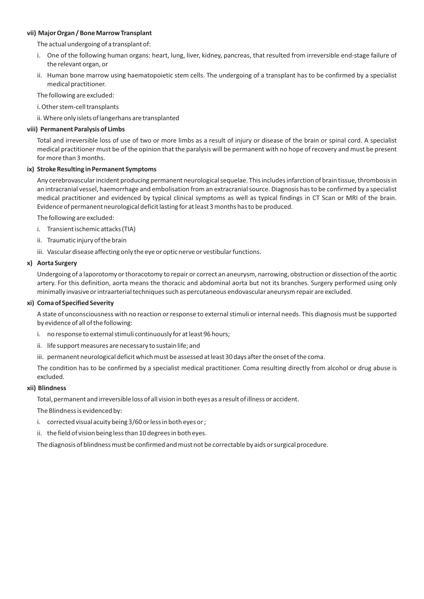# **vii) Major Organ / Bone Marrow Transplant**

The actual undergoing of a transplant of:

- i. One of the following human organs: heart, lung, liver, kidney, pancreas, that resulted from irreversible end-stage failure of the relevant organ, or
- ii. Human bone marrow using haematopoietic stem cells. The undergoing of a transplant has to be confirmed by a specialist medical practitioner.

The following are excluded:

i. Other stem-cell transplants

ii. Where only islets of langerhans are transplanted

#### **viii) Permanent Paralysis of Limbs**

Total and irreversible loss of use of two or more limbs as a result of injury or disease of the brain or spinal cord. A specialist medical practitioner must be of the opinion that the paralysis will be permanent with no hope of recovery and must be present for more than 3 months.

#### **ix) Stroke Resulting in Permanent Symptoms**

Any cerebrovascular incident producing permanent neurological sequelae. This includes infarction of brain tissue, thrombosis in an intracranial vessel, haemorrhage and embolisation from an extracranial source. Diagnosis has to be confirmed by a specialist medical practitioner and evidenced by typical clinical symptoms as well as typical findings in CT Scan or MRI of the brain. Evidence of permanent neurological deficit lasting for at least 3 months has to be produced.

The following are excluded:

- i. Transient ischemic attacks (TIA)
- ii. Traumatic injury of the brain
- iii. Vascular disease affecting only the eye or optic nerve or vestibular functions.

#### **x) Aorta Surgery**

Undergoing of a laporotomy or thoracotomy to repair or correct an aneurysm, narrowing, obstruction or dissection of the aortic artery. For this definition, aorta means the thoracic and abdominal aorta but not its branches. Surgery performed using only minimally invasive or intraarterial techniques such as percutaneous endovascular aneurysm repair are excluded.

#### **xi) Coma of Specified Severity**

A state of unconsciousness with no reaction or response to external stimuli or internal needs. This diagnosis must be supported by evidence of all of the following:

- i. no response to external stimuli continuously for at least 96 hours;
- ii. life support measures are necessary to sustain life; and
- iii. permanent neurological deficit which must be assessed at least 30 days after the onset of the coma.

The condition has to be confirmed by a specialist medical practitioner. Coma resulting directly from alcohol or drug abuse is excluded.

#### **xii) Blindness**

Total, permanent and irreversible loss of all vision in both eyes as a result of illness or accident.

The Blindness is evidenced by:

- i. corrected visual acuity being 3/60 or less in both eyes or ;
- ii. the field of vision being less than 10 degrees in both eyes.

The diagnosis of blindness must be confirmed and must not be correctable by aids or surgical procedure.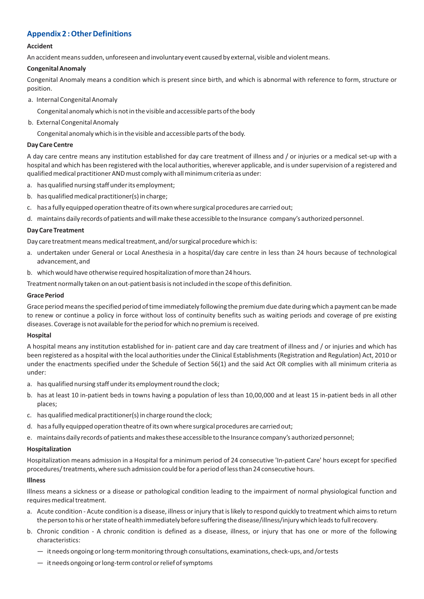# **Appendix 2 : Other Definitions**

# **Accident**

An accident means sudden, unforeseen and involuntary event caused by external, visible and violent means.

# **Congenital Anomaly**

Congenital Anomaly means a condition which is present since birth, and which is abnormal with reference to form, structure or position.

a. Internal Congenital Anomaly

Congenital anomaly which is not in the visible and accessible parts of the body

b. External Congenital Anomaly

Congenital anomaly which is in the visible and accessible parts of the body.

# **Day Care Centre**

A day care centre means any institution established for day care treatment of illness and / or injuries or a medical set-up with a hospital and which has been registered with the local authorities, wherever applicable, and is under supervision of a registered and qualified medical practitioner AND must comply with all minimum criteria as under:

- a. has qualified nursing staff under its employment;
- b. has qualified medical practitioner(s) in charge;
- c. has a fully equipped operation theatre of its own where surgical procedures are carried out;
- d. maintains daily records of patients and will make these accessible to the Insurance company's authorized personnel.

# **Day Care Treatment**

Day care treatment means medical treatment, and/or surgical procedure which is:

- a. undertaken under General or Local Anesthesia in a hospital/day care centre in less than 24 hours because of technological advancement, and
- b. which would have otherwise required hospitalization of more than 24 hours.

Treatment normally taken on an out-patient basis is not included in the scope of this definition.

# **Grace Period**

Grace period means the specified period of time immediately following the premium due date during which a payment can be made to renew or continue a policy in force without loss of continuity benefits such as waiting periods and coverage of pre existing diseases. Coverage is not available for the period for which no premium is received.

# **Hospital**

A hospital means any institution established for in- patient care and day care treatment of illness and / or injuries and which has been registered as a hospital with the local authorities under the Clinical Establishments (Registration and Regulation) Act, 2010 or under the enactments specified under the Schedule of Section 56(1) and the said Act OR complies with all minimum criteria as under:

- a. has qualified nursing staff under its employment round the clock;
- b. has at least 10 in-patient beds in towns having a population of less than 10,00,000 and at least 15 in-patient beds in all other places;
- c. has qualified medical practitioner(s) in charge round the clock;
- d. has a fully equipped operation theatre of its own where surgical procedures are carried out;
- e. maintains daily records of patients and makes these accessible to the Insurance company's authorized personnel;

# **Hospitalization**

Hospitalization means admission in a Hospital for a minimum period of 24 consecutive 'In-patient Care' hours except for specified procedures/ treatments, where such admission could be for a period of less than 24 consecutive hours.

# **Illness**

Illness means a sickness or a disease or pathological condition leading to the impairment of normal physiological function and requires medical treatment.

- a. Acute condition Acute condition is a disease, illness or injury that is likely to respond quickly to treatment which aims to return the person to his or her state of health immediately before suffering the disease/illness/injury which leads to full recovery.
- b. Chronic condition A chronic condition is defined as a disease, illness, or injury that has one or more of the following characteristics:
	- it needs ongoing or long-term monitoring through consultations, examinations, check-ups, and /or tests
	- it needs ongoing or long-term control or relief of symptoms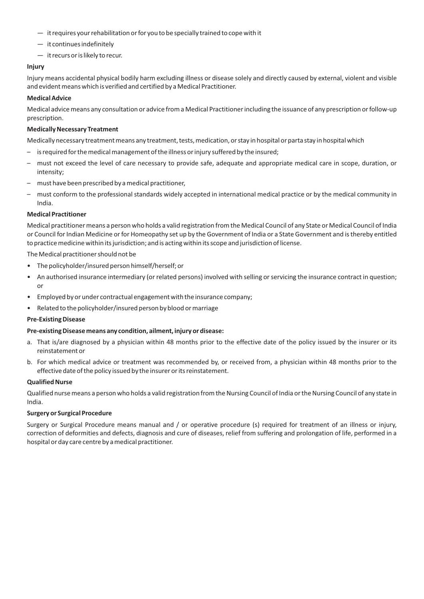- it requires your rehabilitation or for you to be specially trained to cope with it
- it continues indefinitely
- it recurs or is likely to recur.

#### **Injury**

Injury means accidental physical bodily harm excluding illness or disease solely and directly caused by external, violent and visible and evident means which is verified and certified by a Medical Practitioner.

#### **Medical Advice**

Medical advice means any consultation or advice from a Medical Practitioner including the issuance of any prescription or follow-up prescription.

#### **Medically Necessary Treatment**

Medically necessary treatment means any treatment, tests, medication, or stay in hospital or parta stay in hospital which

- is required for the medical management of the illness or injury suffered by the insured;
- must not exceed the level of care necessary to provide safe, adequate and appropriate medical care in scope, duration, or intensity;
- must have been prescribed by a medical practitioner,
- must conform to the professional standards widely accepted in international medical practice or by the medical community in India.

# **Medical Practitioner**

Medical practitioner means a person who holds a valid registration from the Medical Council of any State or Medical Council of India or Council for Indian Medicine or for Homeopathy set up by the Government of India or a State Government and is thereby entitled to practice medicine within its jurisdiction; and is acting within its scope and jurisdiction of license.

The Medical practitioner should not be

- The policyholder/insured person himself/herself; or
- An authorised insurance intermediary (or related persons) involved with selling or servicing the insurance contract in question; or
- Employed by or under contractual engagement with the insurance company;
- Related to the policyholder/insured person by blood or marriage

#### **Pre-Existing Disease**

# **Pre-existing Disease means any condition, ailment, injury or disease:**

- a. That is/are diagnosed by a physician within 48 months prior to the effective date of the policy issued by the insurer or its reinstatement or
- b. For which medical advice or treatment was recommended by, or received from, a physician within 48 months prior to the effective date of the policy issued by the insurer or its reinstatement.

#### **Qualified Nurse**

Qualified nurse means a person who holds a valid registration from the Nursing Council of India or the Nursing Council of any state in India.

#### **Surgery or Surgical Procedure**

Surgery or Surgical Procedure means manual and / or operative procedure (s) required for treatment of an illness or injury, correction of deformities and defects, diagnosis and cure of diseases, relief from suffering and prolongation of life, performed in a hospital or day care centre by a medical practitioner.